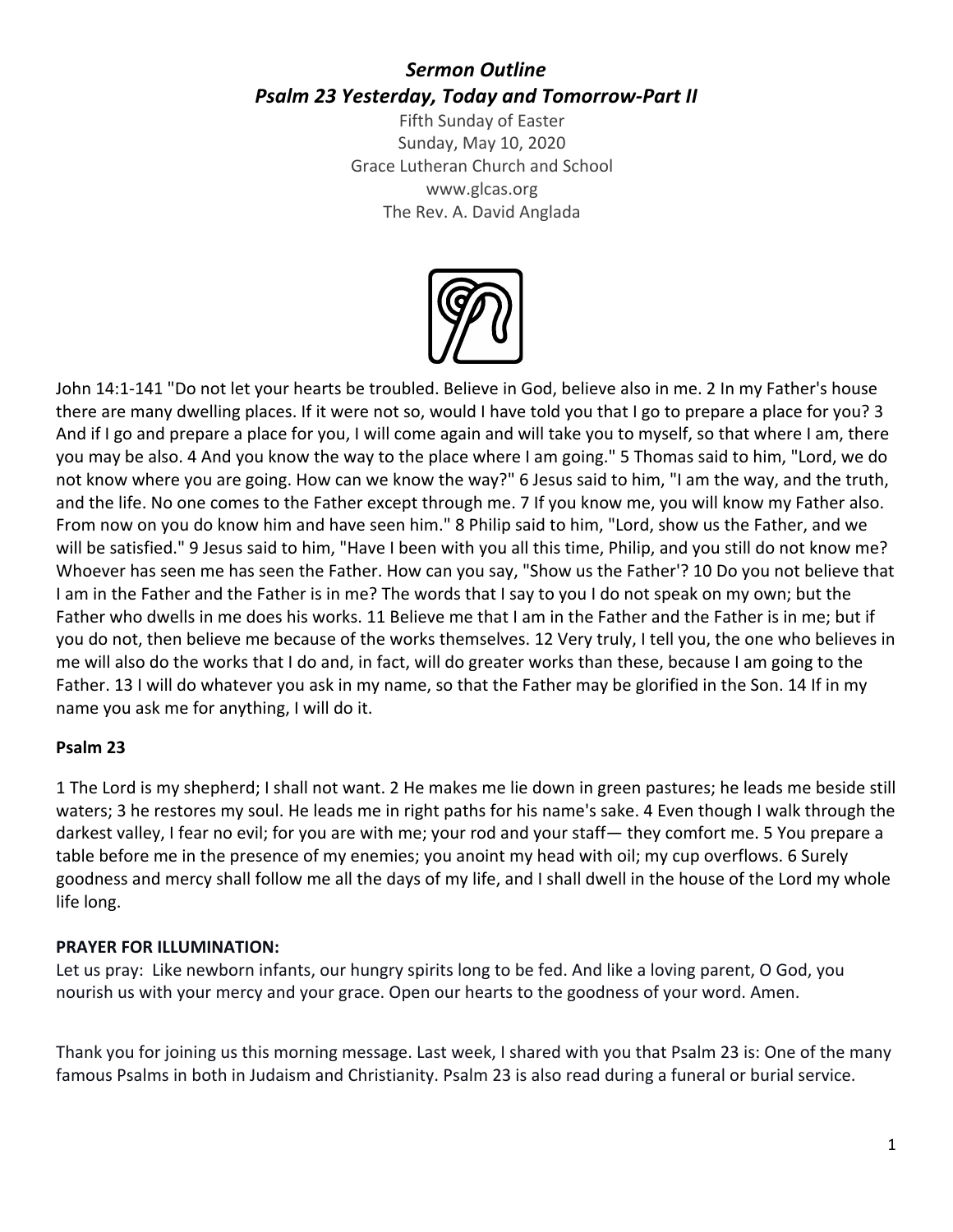# *Sermon Outline Psalm 23 Yesterday, Today and Tomorrow-Part II*

Fifth Sunday of Easter Sunday, May 10, 2020 Grace Lutheran Church and School www.glcas.org The Rev. A. David Anglada



John 14:1-141 "Do not let your hearts be troubled. Believe in God, believe also in me. 2 In my Father's house there are many dwelling places. If it were not so, would I have told you that I go to prepare a place for you? 3 And if I go and prepare a place for you, I will come again and will take you to myself, so that where I am, there you may be also. 4 And you know the way to the place where I am going." 5 Thomas said to him, "Lord, we do not know where you are going. How can we know the way?" 6 Jesus said to him, "I am the way, and the truth, and the life. No one comes to the Father except through me. 7 If you know me, you will know my Father also. From now on you do know him and have seen him." 8 Philip said to him, "Lord, show us the Father, and we will be satisfied." 9 Jesus said to him, "Have I been with you all this time, Philip, and you still do not know me? Whoever has seen me has seen the Father. How can you say, "Show us the Father'? 10 Do you not believe that I am in the Father and the Father is in me? The words that I say to you I do not speak on my own; but the Father who dwells in me does his works. 11 Believe me that I am in the Father and the Father is in me; but if you do not, then believe me because of the works themselves. 12 Very truly, I tell you, the one who believes in me will also do the works that I do and, in fact, will do greater works than these, because I am going to the Father. 13 I will do whatever you ask in my name, so that the Father may be glorified in the Son. 14 If in my name you ask me for anything, I will do it.

#### **Psalm 23**

1 The Lord is my shepherd; I shall not want. 2 He makes me lie down in green pastures; he leads me beside still waters; 3 he restores my soul. He leads me in right paths for his name's sake. 4 Even though I walk through the darkest valley, I fear no evil; for you are with me; your rod and your staff— they comfort me. 5 You prepare a table before me in the presence of my enemies; you anoint my head with oil; my cup overflows. 6 Surely goodness and mercy shall follow me all the days of my life, and I shall dwell in the house of the Lord my whole life long.

#### **PRAYER FOR ILLUMINATION:**

Let us pray: Like newborn infants, our hungry spirits long to be fed. And like a loving parent, O God, you nourish us with your mercy and your grace. Open our hearts to the goodness of your word. Amen.

Thank you for joining us this morning message. Last week, I shared with you that Psalm 23 is: One of the many famous Psalms in both in Judaism and Christianity. Psalm 23 is also read during a funeral or burial service.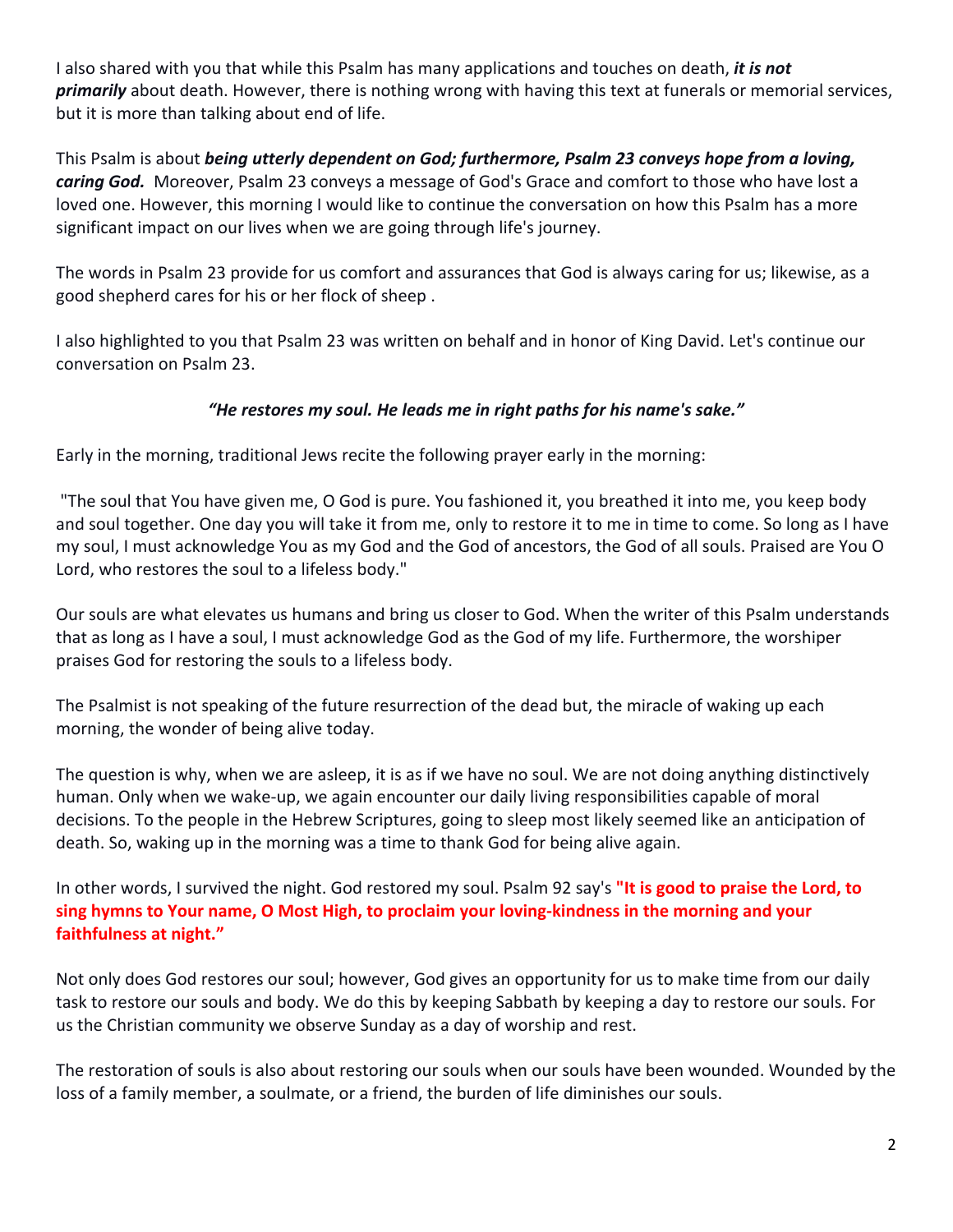I also shared with you that while this Psalm has many applications and touches on death, *it is not primarily* about death. However, there is nothing wrong with having this text at funerals or memorial services, but it is more than talking about end of life.

This Psalm is about *being utterly dependent on God; furthermore, Psalm 23 conveys hope from a loving, caring God.* Moreover, Psalm 23 conveys a message of God's Grace and comfort to those who have lost a loved one. However, this morning I would like to continue the conversation on how this Psalm has a more significant impact on our lives when we are going through life's journey.

The words in Psalm 23 provide for us comfort and assurances that God is always caring for us; likewise, as a good shepherd cares for his or her flock of sheep .

I also highlighted to you that Psalm 23 was written on behalf and in honor of King David. Let's continue our conversation on Psalm 23.

## *"He restores my soul. He leads me in right paths for his name's sake."*

Early in the morning, traditional Jews recite the following prayer early in the morning:

"The soul that You have given me, O God is pure. You fashioned it, you breathed it into me, you keep body and soul together. One day you will take it from me, only to restore it to me in time to come. So long as I have my soul, I must acknowledge You as my God and the God of ancestors, the God of all souls. Praised are You O Lord, who restores the soul to a lifeless body."

Our souls are what elevates us humans and bring us closer to God. When the writer of this Psalm understands that as long as I have a soul, I must acknowledge God as the God of my life. Furthermore, the worshiper praises God for restoring the souls to a lifeless body.

The Psalmist is not speaking of the future resurrection of the dead but, the miracle of waking up each morning, the wonder of being alive today.

The question is why, when we are asleep, it is as if we have no soul. We are not doing anything distinctively human. Only when we wake-up, we again encounter our daily living responsibilities capable of moral decisions. To the people in the Hebrew Scriptures, going to sleep most likely seemed like an anticipation of death. So, waking up in the morning was a time to thank God for being alive again.

In other words, I survived the night. God restored my soul. Psalm 92 say's **"It is good to praise the Lord, to sing hymns to Your name, O Most High, to proclaim your loving-kindness in the morning and your faithfulness at night."**

Not only does God restores our soul; however, God gives an opportunity for us to make time from our daily task to restore our souls and body. We do this by keeping Sabbath by keeping a day to restore our souls. For us the Christian community we observe Sunday as a day of worship and rest.

The restoration of souls is also about restoring our souls when our souls have been wounded. Wounded by the loss of a family member, a soulmate, or a friend, the burden of life diminishes our souls.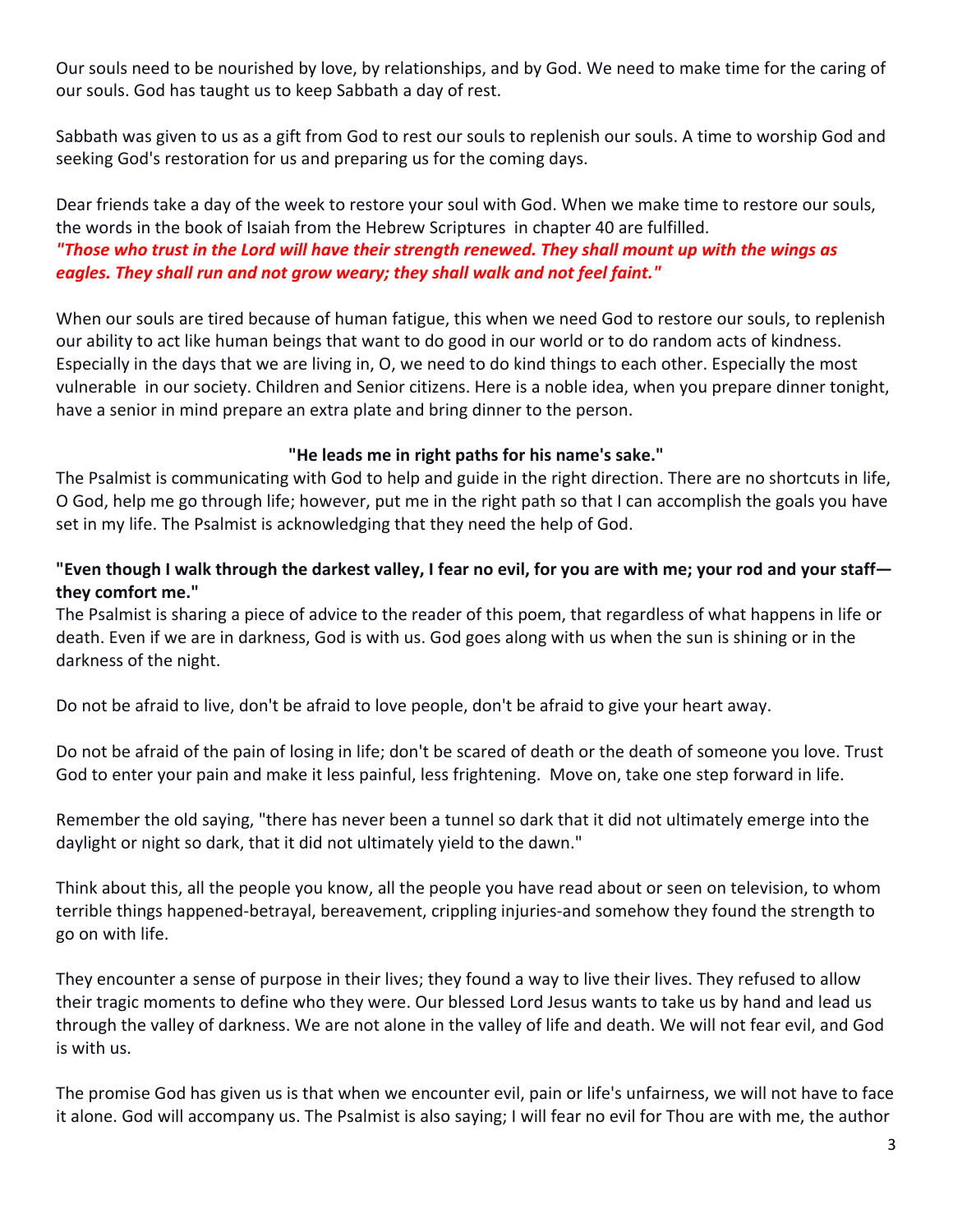Our souls need to be nourished by love, by relationships, and by God. We need to make time for the caring of our souls. God has taught us to keep Sabbath a day of rest.

Sabbath was given to us as a gift from God to rest our souls to replenish our souls. A time to worship God and seeking God's restoration for us and preparing us for the coming days.

Dear friends take a day of the week to restore your soul with God. When we make time to restore our souls, the words in the book of Isaiah from the Hebrew Scriptures in chapter 40 are fulfilled. *"Those who trust in the Lord will have their strength renewed. They shall mount up with the wings as eagles. They shall run and not grow weary; they shall walk and not feel faint."*

When our souls are tired because of human fatigue, this when we need God to restore our souls, to replenish our ability to act like human beings that want to do good in our world or to do random acts of kindness. Especially in the days that we are living in, O, we need to do kind things to each other. Especially the most vulnerable in our society. Children and Senior citizens. Here is a noble idea, when you prepare dinner tonight, have a senior in mind prepare an extra plate and bring dinner to the person.

#### **"He leads me in right paths for his name's sake."**

The Psalmist is communicating with God to help and guide in the right direction. There are no shortcuts in life, O God, help me go through life; however, put me in the right path so that I can accomplish the goals you have set in my life. The Psalmist is acknowledging that they need the help of God.

# **"Even though I walk through the darkest valley, I fear no evil, for you are with me; your rod and your staff they comfort me."**

The Psalmist is sharing a piece of advice to the reader of this poem, that regardless of what happens in life or death. Even if we are in darkness, God is with us. God goes along with us when the sun is shining or in the darkness of the night.

Do not be afraid to live, don't be afraid to love people, don't be afraid to give your heart away.

Do not be afraid of the pain of losing in life; don't be scared of death or the death of someone you love. Trust God to enter your pain and make it less painful, less frightening. Move on, take one step forward in life.

Remember the old saying, "there has never been a tunnel so dark that it did not ultimately emerge into the daylight or night so dark, that it did not ultimately yield to the dawn."

Think about this, all the people you know, all the people you have read about or seen on television, to whom terrible things happened-betrayal, bereavement, crippling injuries-and somehow they found the strength to go on with life.

They encounter a sense of purpose in their lives; they found a way to live their lives. They refused to allow their tragic moments to define who they were. Our blessed Lord Jesus wants to take us by hand and lead us through the valley of darkness. We are not alone in the valley of life and death. We will not fear evil, and God is with us.

The promise God has given us is that when we encounter evil, pain or life's unfairness, we will not have to face it alone. God will accompany us. The Psalmist is also saying; I will fear no evil for Thou are with me, the author